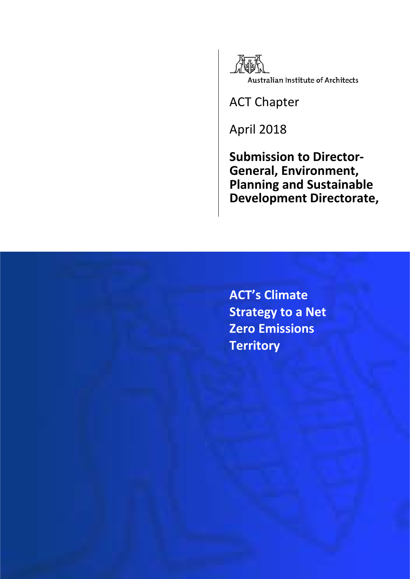

ACT Chapter

April 2018

**Submission to Director- General, Environment, Planning and Sustainable Development Directorate,**

**ACT's Climate Strategy to a Net Zero Emissions Territory**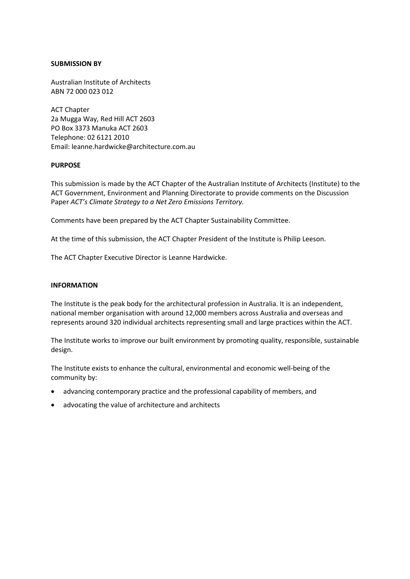#### **SUBMISSION BY**

Australian Institute of Architects ABN 72 000 023 012

ACT Chapter 2a Mugga Way, Red Hill ACT 2603 PO Box 3373 Manuka ACT 2603 Telephone: 02 6121 2010 Email: leanne.hardwicke@architecture.com.au

#### **PURPOSE**

This submission is made by the ACT Chapter of the Australian Institute of Architects (Institute) to the ACT Government, Environment and Planning Directorate to provide comments on the Discussion Paper *ACT's Climate Strategy to a Net Zero Emissions Territory.*

Comments have been prepared by the ACT Chapter Sustainability Committee.

At the time of this submission, the ACT Chapter President of the Institute is Philip Leeson.

The ACT Chapter Executive Director is Leanne Hardwicke.

#### **INFORMATION**

The Institute is the peak body for the architectural profession in Australia. It is an independent, national member organisation with around 12,000 members across Australia and overseas and represents around 320 individual architects representing small and large practices within the ACT.

The Institute works to improve our built environment by promoting quality, responsible, sustainable design.

The Institute exists to enhance the cultural, environmental and economic well-being of the community by:

- advancing contemporary practice and the professional capability of members, and
- advocating the value of architecture and architects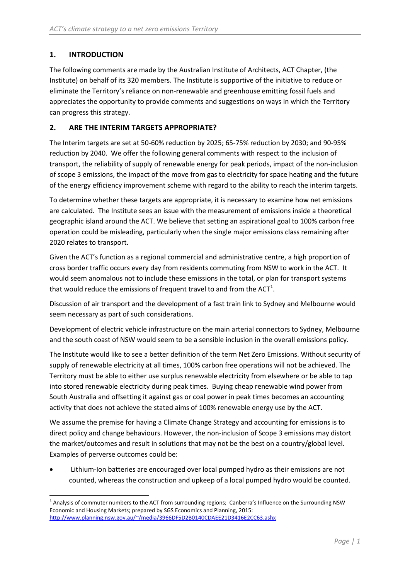# **1. INTRODUCTION**

The following comments are made by the Australian Institute of Architects, ACT Chapter, (the Institute) on behalf of its 320 members. The Institute is supportive of the initiative to reduce or eliminate the Territory's reliance on non-renewable and greenhouse emitting fossil fuels and appreciates the opportunity to provide comments and suggestions on ways in which the Territory can progress this strategy.

## **2. ARE THE INTERIM TARGETS APPROPRIATE?**

The Interim targets are set at 50-60% reduction by 2025; 65-75% reduction by 2030; and 90-95% reduction by 2040. We offer the following general comments with respect to the inclusion of transport, the reliability of supply of renewable energy for peak periods, impact of the non-inclusion of scope 3 emissions, the impact of the move from gas to electricity for space heating and the future of the energy efficiency improvement scheme with regard to the ability to reach the interim targets.

To determine whether these targets are appropriate, it is necessary to examine how net emissions are calculated. The Institute sees an issue with the measurement of emissions inside a theoretical geographic island around the ACT. We believe that setting an aspirational goal to 100% carbon free operation could be misleading, particularly when the single major emissions class remaining after 2020 relates to transport.

Given the ACT's function as a regional commercial and administrative centre, a high proportion of cross border traffic occurs every day from residents commuting from NSW to work in the ACT. It would seem anomalous not to include these emissions in the total, or plan for transport systems that would reduce the emissions of frequent travel to and from the ACT<sup>[1](#page-2-0)</sup>.

Discussion of air transport and the development of a fast train link to Sydney and Melbourne would seem necessary as part of such considerations.

Development of electric vehicle infrastructure on the main arterial connectors to Sydney, Melbourne and the south coast of NSW would seem to be a sensible inclusion in the overall emissions policy.

The Institute would like to see a better definition of the term Net Zero Emissions. Without security of supply of renewable electricity at all times, 100% carbon free operations will not be achieved. The Territory must be able to either use surplus renewable electricity from elsewhere or be able to tap into stored renewable electricity during peak times. Buying cheap renewable wind power from South Australia and offsetting it against gas or coal power in peak times becomes an accounting activity that does not achieve the stated aims of 100% renewable energy use by the ACT.

We assume the premise for having a Climate Change Strategy and accounting for emissions is to direct policy and change behaviours. However, the non-inclusion of Scope 3 emissions may distort the market/outcomes and result in solutions that may not be the best on a country/global level. Examples of perverse outcomes could be:

Lithium-Ion batteries are encouraged over local pumped hydro as their emissions are not counted, whereas the construction and upkeep of a local pumped hydro would be counted.

<span id="page-2-0"></span><sup>&</sup>lt;sup>1</sup> Analysis of commuter numbers to the ACT from surrounding regions; Canberra's Influence on the Surrounding NSW Economic and Housing Markets; prepared by SGS Economics and Planning, 2015: [http://www.planning.nsw.gov.au/~/media/3966DF5D2B0140CDAEE21D3416E2CC63.ashx](http://www.planning.nsw.gov.au/%7E/media/3966DF5D2B0140CDAEE21D3416E2CC63.ashx)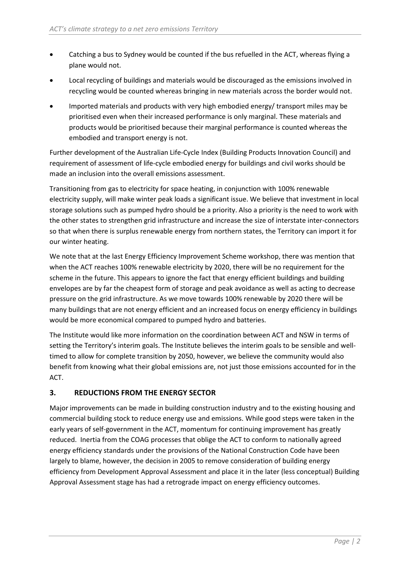- Catching a bus to Sydney would be counted if the bus refuelled in the ACT, whereas flying a plane would not.
- Local recycling of buildings and materials would be discouraged as the emissions involved in recycling would be counted whereas bringing in new materials across the border would not.
- Imported materials and products with very high embodied energy/ transport miles may be prioritised even when their increased performance is only marginal. These materials and products would be prioritised because their marginal performance is counted whereas the embodied and transport energy is not.

Further development of the Australian Life-Cycle Index (Building Products Innovation Council) and requirement of assessment of life-cycle embodied energy for buildings and civil works should be made an inclusion into the overall emissions assessment.

Transitioning from gas to electricity for space heating, in conjunction with 100% renewable electricity supply, will make winter peak loads a significant issue. We believe that investment in local storage solutions such as pumped hydro should be a priority. Also a priority is the need to work with the other states to strengthen grid infrastructure and increase the size of interstate inter-connectors so that when there is surplus renewable energy from northern states, the Territory can import it for our winter heating.

We note that at the last Energy Efficiency Improvement Scheme workshop, there was mention that when the ACT reaches 100% renewable electricity by 2020, there will be no requirement for the scheme in the future. This appears to ignore the fact that energy efficient buildings and building envelopes are by far the cheapest form of storage and peak avoidance as well as acting to decrease pressure on the grid infrastructure. As we move towards 100% renewable by 2020 there will be many buildings that are not energy efficient and an increased focus on energy efficiency in buildings would be more economical compared to pumped hydro and batteries.

The Institute would like more information on the coordination between ACT and NSW in terms of setting the Territory's interim goals. The Institute believes the interim goals to be sensible and welltimed to allow for complete transition by 2050, however, we believe the community would also benefit from knowing what their global emissions are, not just those emissions accounted for in the ACT.

# **3. REDUCTIONS FROM THE ENERGY SECTOR**

Major improvements can be made in building construction industry and to the existing housing and commercial building stock to reduce energy use and emissions. While good steps were taken in the early years of self-government in the ACT, momentum for continuing improvement has greatly reduced. Inertia from the COAG processes that oblige the ACT to conform to nationally agreed energy efficiency standards under the provisions of the National Construction Code have been largely to blame, however, the decision in 2005 to remove consideration of building energy efficiency from Development Approval Assessment and place it in the later (less conceptual) Building Approval Assessment stage has had a retrograde impact on energy efficiency outcomes.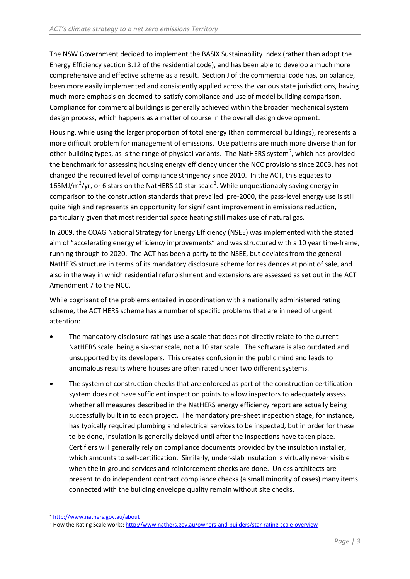The NSW Government decided to implement the BASIX Sustainability Index (rather than adopt the Energy Efficiency section 3.12 of the residential code), and has been able to develop a much more comprehensive and effective scheme as a result. Section J of the commercial code has, on balance, been more easily implemented and consistently applied across the various state jurisdictions, having much more emphasis on deemed-to-satisfy compliance and use of model building comparison. Compliance for commercial buildings is generally achieved within the broader mechanical system design process, which happens as a matter of course in the overall design development.

Housing, while using the larger proportion of total energy (than commercial buildings), represents a more difficult problem for management of emissions. Use patterns are much more diverse than for other building types, as is the range of physical variants. The NatHERS system<sup>[2](#page-4-0)</sup>, which has provided the benchmark for assessing housing energy efficiency under the NCC provisions since 2003, has not changed the required level of compliance stringency since 2010. In the ACT, this equates to 165MJ/m<sup>2</sup>/yr, or 6 stars on the NatHERS 10-star scale<sup>[3](#page-4-1)</sup>. While unquestionably saving energy in comparison to the construction standards that prevailed pre-2000, the pass-level energy use is still quite high and represents an opportunity for significant improvement in emissions reduction, particularly given that most residential space heating still makes use of natural gas.

In 2009, the COAG National Strategy for Energy Efficiency (NSEE) was implemented with the stated aim of "accelerating energy efficiency improvements" and was structured with a 10 year time-frame, running through to 2020. The ACT has been a party to the NSEE, but deviates from the general NatHERS structure in terms of its mandatory disclosure scheme for residences at point of sale, and also in the way in which residential refurbishment and extensions are assessed as set out in the ACT Amendment 7 to the NCC.

While cognisant of the problems entailed in coordination with a nationally administered rating scheme, the ACT HERS scheme has a number of specific problems that are in need of urgent attention:

- The mandatory disclosure ratings use a scale that does not directly relate to the current NatHERS scale, being a six-star scale, not a 10 star scale. The software is also outdated and unsupported by its developers. This creates confusion in the public mind and leads to anomalous results where houses are often rated under two different systems.
- The system of construction checks that are enforced as part of the construction certification system does not have sufficient inspection points to allow inspectors to adequately assess whether all measures described in the NatHERS energy efficiency report are actually being successfully built in to each project. The mandatory pre-sheet inspection stage, for instance, has typically required plumbing and electrical services to be inspected, but in order for these to be done, insulation is generally delayed until after the inspections have taken place. Certifiers will generally rely on compliance documents provided by the insulation installer, which amounts to self-certification. Similarly, under-slab insulation is virtually never visible when the in-ground services and reinforcement checks are done. Unless architects are present to do independent contract compliance checks (a small minority of cases) many items connected with the building envelope quality remain without site checks.

<span id="page-4-0"></span><sup>2</sup> <http://www.nathers.gov.au/about>

<span id="page-4-1"></span><sup>&</sup>lt;sup>3</sup> How the Rating Scale works[: http://www.nathers.gov.au/owners-and-builders/star-rating-scale-overview](http://www.nathers.gov.au/owners-and-builders/star-rating-scale-overview)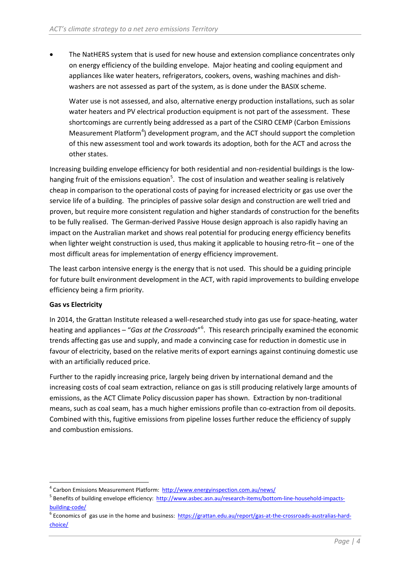• The NatHERS system that is used for new house and extension compliance concentrates only on energy efficiency of the building envelope. Major heating and cooling equipment and appliances like water heaters, refrigerators, cookers, ovens, washing machines and dishwashers are not assessed as part of the system, as is done under the BASIX scheme.

Water use is not assessed, and also, alternative energy production installations, such as solar water heaters and PV electrical production equipment is not part of the assessment. These shortcomings are currently being addressed as a part of the CSIRO CEMP (Carbon Emissions Measurement Platform<sup>[4](#page-5-0)</sup>) development program, and the ACT should support the completion of this new assessment tool and work towards its adoption, both for the ACT and across the other states.

Increasing building envelope efficiency for both residential and non-residential buildings is the low-hanging fruit of the emissions equation<sup>[5](#page-5-1)</sup>. The cost of insulation and weather sealing is relatively cheap in comparison to the operational costs of paying for increased electricity or gas use over the service life of a building. The principles of passive solar design and construction are well tried and proven, but require more consistent regulation and higher standards of construction for the benefits to be fully realised. The German-derived Passive House design approach is also rapidly having an impact on the Australian market and shows real potential for producing energy efficiency benefits when lighter weight construction is used, thus making it applicable to housing retro-fit – one of the most difficult areas for implementation of energy efficiency improvement.

The least carbon intensive energy is the energy that is not used. This should be a guiding principle for future built environment development in the ACT, with rapid improvements to building envelope efficiency being a firm priority.

### **Gas vs Electricity**

In 2014, the Grattan Institute released a well-researched study into gas use for space-heating, water heating and appliances – "*Gas at the Crossroads*"[6](#page-5-2) . This research principally examined the economic trends affecting gas use and supply, and made a convincing case for reduction in domestic use in favour of electricity, based on the relative merits of export earnings against continuing domestic use with an artificially reduced price.

Further to the rapidly increasing price, largely being driven by international demand and the increasing costs of coal seam extraction, reliance on gas is still producing relatively large amounts of emissions, as the ACT Climate Policy discussion paper has shown. Extraction by non-traditional means, such as coal seam, has a much higher emissions profile than co-extraction from oil deposits. Combined with this, fugitive emissions from pipeline losses further reduce the efficiency of supply and combustion emissions.

<span id="page-5-0"></span><sup>4</sup> Carbon Emissions Measurement Platform:<http://www.energyinspection.com.au/news/>

<span id="page-5-1"></span><sup>&</sup>lt;sup>5</sup> Benefits of building envelope efficiency: [http://www.asbec.asn.au/research-items/bottom-line-household-impacts](http://www.asbec.asn.au/research-items/bottom-line-household-impacts-building-code/)[building-code/](http://www.asbec.asn.au/research-items/bottom-line-household-impacts-building-code/)

<span id="page-5-2"></span> $6$  Economics of gas use in the home and business: [https://grattan.edu.au/report/gas-at-the-crossroads-australias-hard](https://grattan.edu.au/report/gas-at-the-crossroads-australias-hard-choice/)[choice/](https://grattan.edu.au/report/gas-at-the-crossroads-australias-hard-choice/)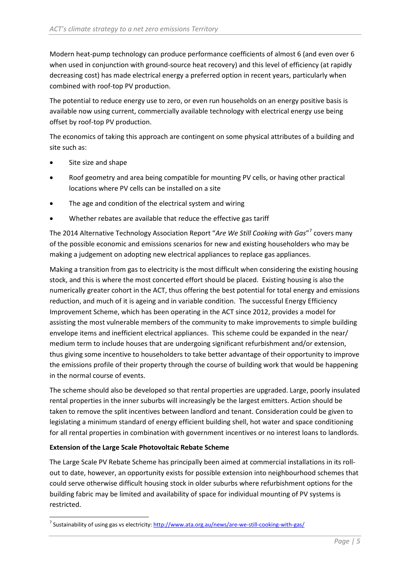Modern heat-pump technology can produce performance coefficients of almost 6 (and even over 6 when used in conjunction with ground-source heat recovery) and this level of efficiency (at rapidly decreasing cost) has made electrical energy a preferred option in recent years, particularly when combined with roof-top PV production.

The potential to reduce energy use to zero, or even run households on an energy positive basis is available now using current, commercially available technology with electrical energy use being offset by roof-top PV production.

The economics of taking this approach are contingent on some physical attributes of a building and site such as:

- Site size and shape
- Roof geometry and area being compatible for mounting PV cells, or having other practical locations where PV cells can be installed on a site
- The age and condition of the electrical system and wiring
- Whether rebates are available that reduce the effective gas tariff

The 2014 Alternative Technology Association Report "*Are We Still Cooking with Gas*"[7](#page-6-0) covers many of the possible economic and emissions scenarios for new and existing householders who may be making a judgement on adopting new electrical appliances to replace gas appliances.

Making a transition from gas to electricity is the most difficult when considering the existing housing stock, and this is where the most concerted effort should be placed. Existing housing is also the numerically greater cohort in the ACT, thus offering the best potential for total energy and emissions reduction, and much of it is ageing and in variable condition. The successful Energy Efficiency Improvement Scheme, which has been operating in the ACT since 2012, provides a model for assisting the most vulnerable members of the community to make improvements to simple building envelope items and inefficient electrical appliances. This scheme could be expanded in the near/ medium term to include houses that are undergoing significant refurbishment and/or extension, thus giving some incentive to householders to take better advantage of their opportunity to improve the emissions profile of their property through the course of building work that would be happening in the normal course of events.

The scheme should also be developed so that rental properties are upgraded. Large, poorly insulated rental properties in the inner suburbs will increasingly be the largest emitters. Action should be taken to remove the split incentives between landlord and tenant. Consideration could be given to legislating a minimum standard of energy efficient building shell, hot water and space conditioning for all rental properties in combination with government incentives or no interest loans to landlords.

### **Extension of the Large Scale Photovoltaic Rebate Scheme**

The Large Scale PV Rebate Scheme has principally been aimed at commercial installations in its rollout to date, however, an opportunity exists for possible extension into neighbourhood schemes that could serve otherwise difficult housing stock in older suburbs where refurbishment options for the building fabric may be limited and availability of space for individual mounting of PV systems is restricted.

<span id="page-6-0"></span><sup>&</sup>lt;sup>7</sup> Sustainability of using gas vs electricity:<http://www.ata.org.au/news/are-we-still-cooking-with-gas/>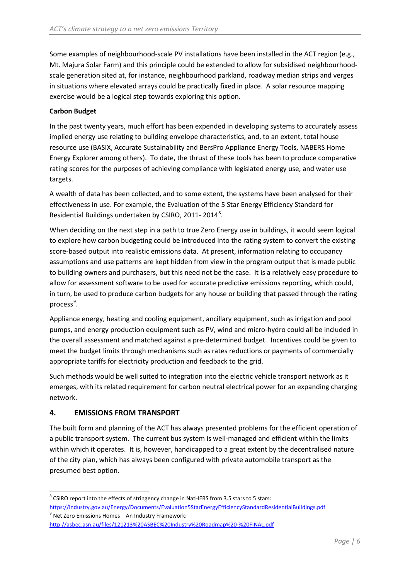Some examples of neighbourhood-scale PV installations have been installed in the ACT region (e.g., Mt. Majura Solar Farm) and this principle could be extended to allow for subsidised neighbourhoodscale generation sited at, for instance, neighbourhood parkland, roadway median strips and verges in situations where elevated arrays could be practically fixed in place. A solar resource mapping exercise would be a logical step towards exploring this option.

### **Carbon Budget**

In the past twenty years, much effort has been expended in developing systems to accurately assess implied energy use relating to building envelope characteristics, and, to an extent, total house resource use (BASIX, Accurate Sustainability and BersPro Appliance Energy Tools, NABERS Home Energy Explorer among others). To date, the thrust of these tools has been to produce comparative rating scores for the purposes of achieving compliance with legislated energy use, and water use targets.

A wealth of data has been collected, and to some extent, the systems have been analysed for their effectiveness in use. For example, the Evaluation of the 5 Star Energy Efficiency Standard for Residential Buildings undertaken by CSIRO, 2011-2014<sup>[8](#page-7-0)</sup>.

When deciding on the next step in a path to true Zero Energy use in buildings, it would seem logical to explore how carbon budgeting could be introduced into the rating system to convert the existing score-based output into realistic emissions data. At present, information relating to occupancy assumptions and use patterns are kept hidden from view in the program output that is made public to building owners and purchasers, but this need not be the case. It is a relatively easy procedure to allow for assessment software to be used for accurate predictive emissions reporting, which could, in turn, be used to produce carbon budgets for any house or building that passed through the rating process<sup>[9](#page-7-1)</sup>.

Appliance energy, heating and cooling equipment, ancillary equipment, such as irrigation and pool pumps, and energy production equipment such as PV, wind and micro-hydro could all be included in the overall assessment and matched against a pre-determined budget. Incentives could be given to meet the budget limits through mechanisms such as rates reductions or payments of commercially appropriate tariffs for electricity production and feedback to the grid.

Such methods would be well suited to integration into the electric vehicle transport network as it emerges, with its related requirement for carbon neutral electrical power for an expanding charging network.

## **4. EMISSIONS FROM TRANSPORT**

The built form and planning of the ACT has always presented problems for the efficient operation of a public transport system. The current bus system is well-managed and efficient within the limits within which it operates. It is, however, handicapped to a great extent by the decentralised nature of the city plan, which has always been configured with private automobile transport as the presumed best option.

<span id="page-7-0"></span><sup>&</sup>lt;sup>8</sup> CSIRO report into the effects of stringency change in NatHERS from 3.5 stars to 5 stars:

<https://industry.gov.au/Energy/Documents/Evaluation5StarEnergyEfficiencyStandardResidentialBuildings.pdf> <sup>9</sup> Net Zero Emissions Homes – An Industry Framework:

<span id="page-7-1"></span><http://asbec.asn.au/files/121213%20ASBEC%20Industry%20Roadmap%20-%20FINAL.pdf>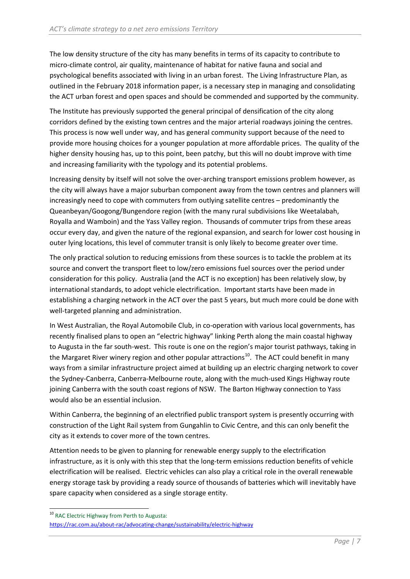The low density structure of the city has many benefits in terms of its capacity to contribute to micro-climate control, air quality, maintenance of habitat for native fauna and social and psychological benefits associated with living in an urban forest. The Living Infrastructure Plan, as outlined in the February 2018 information paper, is a necessary step in managing and consolidating the ACT urban forest and open spaces and should be commended and supported by the community.

The Institute has previously supported the general principal of densification of the city along corridors defined by the existing town centres and the major arterial roadways joining the centres. This process is now well under way, and has general community support because of the need to provide more housing choices for a younger population at more affordable prices. The quality of the higher density housing has, up to this point, been patchy, but this will no doubt improve with time and increasing familiarity with the typology and its potential problems.

Increasing density by itself will not solve the over-arching transport emissions problem however, as the city will always have a major suburban component away from the town centres and planners will increasingly need to cope with commuters from outlying satellite centres – predominantly the Queanbeyan/Googong/Bungendore region (with the many rural subdivisions like Weetalabah, Royalla and Wamboin) and the Yass Valley region. Thousands of commuter trips from these areas occur every day, and given the nature of the regional expansion, and search for lower cost housing in outer lying locations, this level of commuter transit is only likely to become greater over time.

The only practical solution to reducing emissions from these sources is to tackle the problem at its source and convert the transport fleet to low/zero emissions fuel sources over the period under consideration for this policy. Australia (and the ACT is no exception) has been relatively slow, by international standards, to adopt vehicle electrification. Important starts have been made in establishing a charging network in the ACT over the past 5 years, but much more could be done with well-targeted planning and administration.

In West Australian, the Royal Automobile Club, in co-operation with various local governments, has recently finalised plans to open an "electric highway" linking Perth along the main coastal highway to Augusta in the far south-west. This route is one on the region's major tourist pathways, taking in the Margaret River winery region and other popular attractions<sup>10</sup>. The ACT could benefit in many ways from a similar infrastructure project aimed at building up an electric charging network to cover the Sydney-Canberra, Canberra-Melbourne route, along with the much-used Kings Highway route joining Canberra with the south coast regions of NSW. The Barton Highway connection to Yass would also be an essential inclusion.

Within Canberra, the beginning of an electrified public transport system is presently occurring with construction of the Light Rail system from Gungahlin to Civic Centre, and this can only benefit the city as it extends to cover more of the town centres.

Attention needs to be given to planning for renewable energy supply to the electrification infrastructure, as it is only with this step that the long-term emissions reduction benefits of vehicle electrification will be realised. Electric vehicles can also play a critical role in the overall renewable energy storage task by providing a ready source of thousands of batteries which will inevitably have spare capacity when considered as a single storage entity.

<span id="page-8-0"></span><sup>&</sup>lt;sup>10</sup> RAC Electric Highway from Perth to Augusta: <https://rac.com.au/about-rac/advocating-change/sustainability/electric-highway>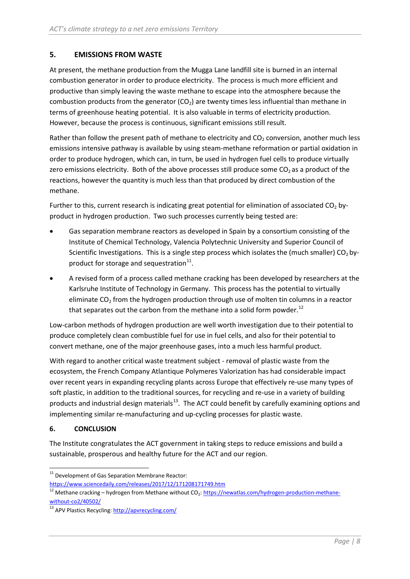## **5. EMISSIONS FROM WASTE**

At present, the methane production from the Mugga Lane landfill site is burned in an internal combustion generator in order to produce electricity. The process is much more efficient and productive than simply leaving the waste methane to escape into the atmosphere because the combustion products from the generator  $(CO<sub>2</sub>)$  are twenty times less influential than methane in terms of greenhouse heating potential. It is also valuable in terms of electricity production. However, because the process is continuous, significant emissions still result.

Rather than follow the present path of methane to electricity and  $CO<sub>2</sub>$  conversion, another much less emissions intensive pathway is available by using steam-methane reformation or partial oxidation in order to produce hydrogen, which can, in turn, be used in hydrogen fuel cells to produce virtually zero emissions electricity. Both of the above processes still produce some  $CO<sub>2</sub>$  as a product of the reactions, however the quantity is much less than that produced by direct combustion of the methane.

Further to this, current research is indicating great potential for elimination of associated  $CO<sub>2</sub>$  byproduct in hydrogen production. Two such processes currently being tested are:

- Gas separation membrane reactors as developed in Spain by a consortium consisting of the Institute of Chemical Technology, Valencia Polytechnic University and Superior Council of Scientific Investigations. This is a single step process which isolates the (much smaller)  $CO<sub>2</sub>$  byproduct for storage and sequestration $^{11}$  $^{11}$  $^{11}$ .
- A revised form of a process called methane cracking has been developed by researchers at the Karlsruhe Institute of Technology in Germany. This process has the potential to virtually eliminate  $CO<sub>2</sub>$  from the hydrogen production through use of molten tin columns in a reactor that separates out the carbon from the methane into a solid form powder.<sup>[12](#page-9-1)</sup>

Low-carbon methods of hydrogen production are well worth investigation due to their potential to produce completely clean combustible fuel for use in fuel cells, and also for their potential to convert methane, one of the major greenhouse gases, into a much less harmful product.

With regard to another critical waste treatment subject - removal of plastic waste from the ecosystem, the French Company Atlantique Polymeres Valorization has had considerable impact over recent years in expanding recycling plants across Europe that effectively re-use many types of soft plastic, in addition to the traditional sources, for recycling and re-use in a variety of building products and industrial design materials<sup>13</sup>. The ACT could benefit by carefully examining options and implementing similar re-manufacturing and up-cycling processes for plastic waste.

## **6. CONCLUSION**

The Institute congratulates the ACT government in taking steps to reduce emissions and build a sustainable, prosperous and healthy future for the ACT and our region.

<span id="page-9-0"></span> $11$  Development of Gas Separation Membrane Reactor:

<https://www.sciencedaily.com/releases/2017/12/171208171749.htm>

<span id="page-9-1"></span> $12$  Methane cracking – hydrogen from Methane without CO<sub>2</sub>[: https://newatlas.com/hydrogen-production-methane](https://newatlas.com/hydrogen-production-methane-without-co2/40502/)[without-co2/40502/](https://newatlas.com/hydrogen-production-methane-without-co2/40502/)

<span id="page-9-2"></span><sup>&</sup>lt;sup>13</sup> APV Plastics Recycling[: http://apvrecycling.com/](http://apvrecycling.com/)